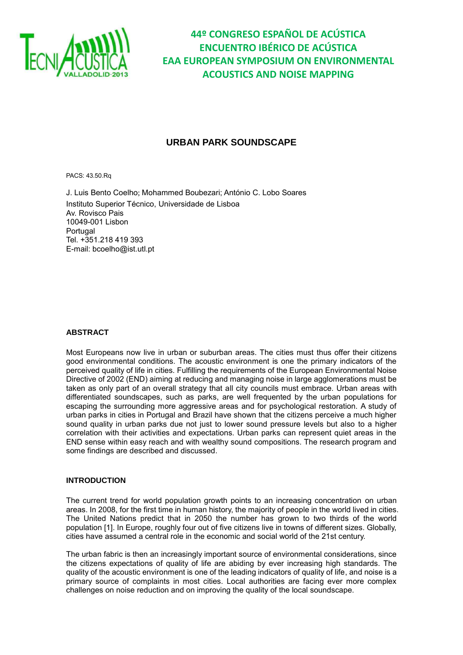

### **URBAN PARK SOUNDSCAPE**

PACS: 43.50.Rq

J. Luis Bento Coelho; Mohammed Boubezari; António C. Lobo Soares Instituto Superior Técnico, Universidade de Lisboa Av. Rovisco Pais 10049-001 Lisbon Portugal Tel. +351.218 419 393 E-mail: [bcoelho@ist.utl.pt](mailto:bcoelho@ist.utl.pt) 

#### **ABSTRACT**

Most Europeans now live in urban or suburban areas. The cities must thus offer their citizens good environmental conditions. The acoustic environment is one the primary indicators of the perceived quality of life in cities. Fulfilling the requirements of the European Environmental Noise Directive of 2002 (END) aiming at reducing and managing noise in large agglomerations must be taken as only part of an overall strategy that all city councils must embrace. Urban areas with differentiated soundscapes, such as parks, are well frequented by the urban populations for escaping the surrounding more aggressive areas and for psychological restoration. A study of urban parks in cities in Portugal and Brazil have shown that the citizens perceive a much higher sound quality in urban parks due not just to lower sound pressure levels but also to a higher correlation with their activities and expectations. Urban parks can represent quiet areas in the END sense within easy reach and with wealthy sound compositions. The research program and some findings are described and discussed.

#### **INTRODUCTION**

The current trend for world population growth points to an increasing concentration on urban areas. In 2008, for the first time in human history, the majority of people in the world lived in cities. The United Nations predict that in 2050 the number has grown to two thirds of the world population [1]. In Europe, roughly four out of five citizens live in towns of different sizes. Globally, cities have assumed a central role in the economic and social world of the 21st century.

The urban fabric is then an increasingly important source of environmental considerations, since the citizens expectations of quality of life are abiding by ever increasing high standards. The quality of the acoustic environment is one of the leading indicators of quality of life, and noise is a primary source of complaints in most cities. Local authorities are facing ever more complex challenges on noise reduction and on improving the quality of the local soundscape.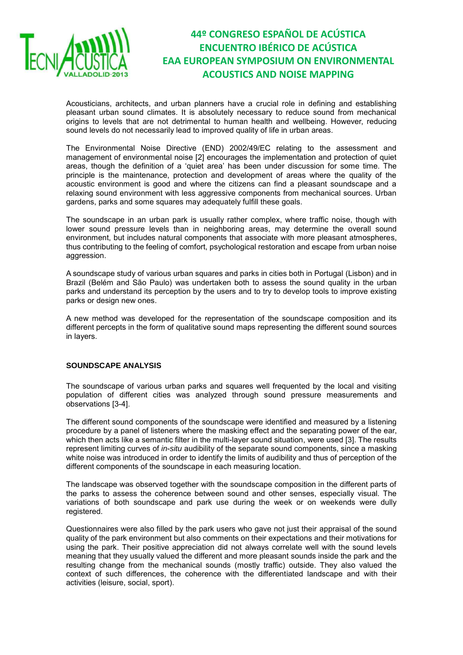

Acousticians, architects, and urban planners have a crucial role in defining and establishing pleasant urban sound climates. It is absolutely necessary to reduce sound from mechanical origins to levels that are not detrimental to human health and wellbeing. However, reducing sound levels do not necessarily lead to improved quality of life in urban areas.

The Environmental Noise Directive (END) 2002/49/EC relating to the assessment and management of environmental noise [2] encourages the implementation and protection of quiet areas, though the definition of a 'quiet area' has been under discussion for some time. The principle is the maintenance, protection and development of areas where the quality of the acoustic environment is good and where the citizens can find a pleasant soundscape and a relaxing sound environment with less aggressive components from mechanical sources. Urban gardens, parks and some squares may adequately fulfill these goals.

The soundscape in an urban park is usually rather complex, where traffic noise, though with lower sound pressure levels than in neighboring areas, may determine the overall sound environment, but includes natural components that associate with more pleasant atmospheres, thus contributing to the feeling of comfort, psychological restoration and escape from urban noise aggression.

A soundscape study of various urban squares and parks in cities both in Portugal (Lisbon) and in Brazil (Belém and São Paulo) was undertaken both to assess the sound quality in the urban parks and understand its perception by the users and to try to develop tools to improve existing parks or design new ones.

A new method was developed for the representation of the soundscape composition and its different percepts in the form of qualitative sound maps representing the different sound sources in layers.

#### **SOUNDSCAPE ANALYSIS**

The soundscape of various urban parks and squares well frequented by the local and visiting population of different cities was analyzed through sound pressure measurements and observations [3-4].

The different sound components of the soundscape were identified and measured by a listening procedure by a panel of listeners where the masking effect and the separating power of the ear, which then acts like a semantic filter in the multi-layer sound situation, were used [3]. The results represent limiting curves of *in*-*situ* audibility of the separate sound components, since a masking white noise was introduced in order to identify the limits of audibility and thus of perception of the different components of the soundscape in each measuring location.

The landscape was observed together with the soundscape composition in the different parts of the parks to assess the coherence between sound and other senses, especially visual. The variations of both soundscape and park use during the week or on weekends were dully registered.

Questionnaires were also filled by the park users who gave not just their appraisal of the sound quality of the park environment but also comments on their expectations and their motivations for using the park. Their positive appreciation did not always correlate well with the sound levels meaning that they usually valued the different and more pleasant sounds inside the park and the resulting change from the mechanical sounds (mostly traffic) outside. They also valued the context of such differences, the coherence with the differentiated landscape and with their activities (leisure, social, sport).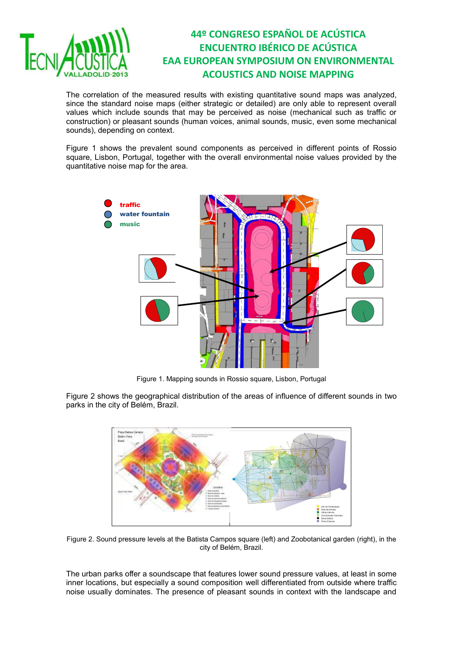

The correlation of the measured results with existing quantitative sound maps was analyzed, since the standard noise maps (either strategic or detailed) are only able to represent overall values which include sounds that may be perceived as noise (mechanical such as traffic or construction) or pleasant sounds (human voices, animal sounds, music, even some mechanical sounds), depending on context.

Figure 1 shows the prevalent sound components as perceived in different points of Rossio square, Lisbon, Portugal, together with the overall environmental noise values provided by the quantitative noise map for the area.



Figure 1. Mapping sounds in Rossio square, Lisbon, Portugal

Figure 2 shows the geographical distribution of the areas of influence of different sounds in two parks in the city of Belém, Brazil.



Figure 2. Sound pressure levels at the Batista Campos square (left) and Zoobotanical garden (right), in the city of Belém, Brazil.

The urban parks offer a soundscape that features lower sound pressure values, at least in some inner locations, but especially a sound composition well differentiated from outside where traffic noise usually dominates. The presence of pleasant sounds in context with the landscape and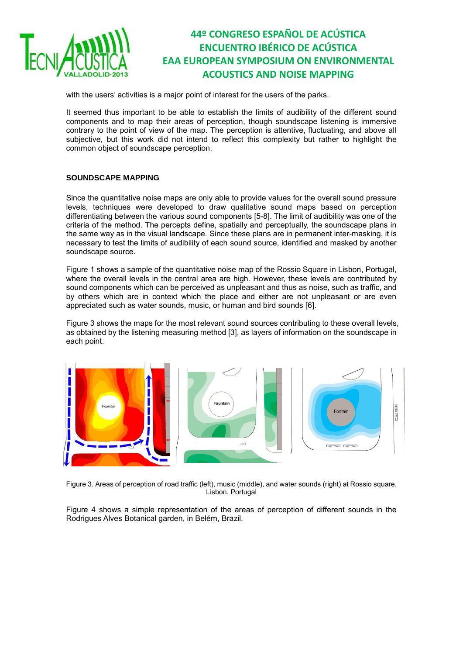

with the users' activities is a major point of interest for the users of the parks.

It seemed thus important to be able to establish the limits of audibility of the different sound components and to map their areas of perception, though soundscape listening is immersive contrary to the point of view of the map. The perception is attentive, fluctuating, and above all subjective, but this work did not intend to reflect this complexity but rather to highlight the common object of soundscape perception.

#### **SOUNDSCAPE MAPPING**

Since the quantitative noise maps are only able to provide values for the overall sound pressure levels, techniques were developed to draw qualitative sound maps based on perception differentiating between the various sound components [5-8]. The limit of audibility was one of the criteria of the method. The percepts define, spatially and perceptually, the soundscape plans in the same way as in the visual landscape. Since these plans are in permanent inter-masking, it is necessary to test the limits of audibility of each sound source, identified and masked by another soundscape source.

Figure 1 shows a sample of the quantitative noise map of the Rossio Square in Lisbon, Portugal, where the overall levels in the central area are high. However, these levels are contributed by sound components which can be perceived as unpleasant and thus as noise, such as traffic, and by others which are in context which the place and either are not unpleasant or are even appreciated such as water sounds, music, or human and bird sounds [6].

Figure 3 shows the maps for the most relevant sound sources contributing to these overall levels, as obtained by the listening measuring method [3], as layers of information on the soundscape in each point.



Figure 3. Areas of perception of road traffic (left), music (middle), and water sounds (right) at Rossio square, Lisbon, Portugal

Figure 4 shows a simple representation of the areas of perception of different sounds in the Rodrigues Alves Botanical garden, in Belém, Brazil.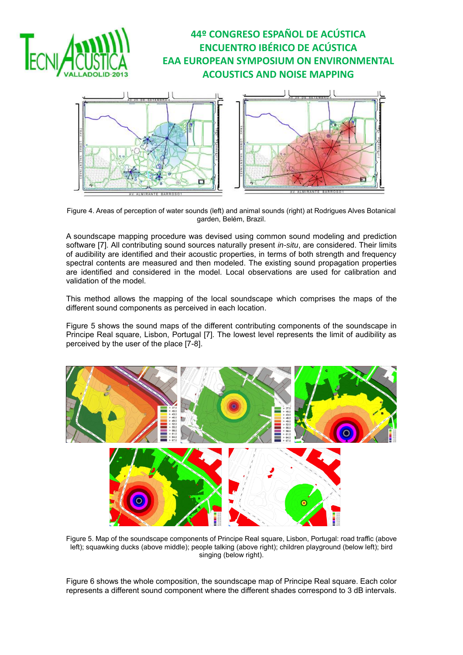



Figure 4. Areas of perception of water sounds (left) and animal sounds (right) at Rodrigues Alves Botanical garden, Belém, Brazil.

A soundscape mapping procedure was devised using common sound modeling and prediction software [7]. All contributing sound sources naturally present *in-situ*, are considered. Their limits of audibility are identified and their acoustic properties, in terms of both strength and frequency spectral contents are measured and then modeled. The existing sound propagation properties are identified and considered in the model. Local observations are used for calibration and validation of the model.

This method allows the mapping of the local soundscape which comprises the maps of the different sound components as perceived in each location.

Figure 5 shows the sound maps of the different contributing components of the soundscape in Principe Real square, Lisbon, Portugal [7]. The lowest level represents the limit of audibility as perceived by the user of the place [7-8].



Figure 5. Map of the soundscape components of Principe Real square, Lisbon, Portugal: road traffic (above left); squawking ducks (above middle); people talking (above right); children playground (below left); bird singing (below right).

Figure 6 shows the whole composition, the soundscape map of Principe Real square. Each color represents a different sound component where the different shades correspond to 3 dB intervals.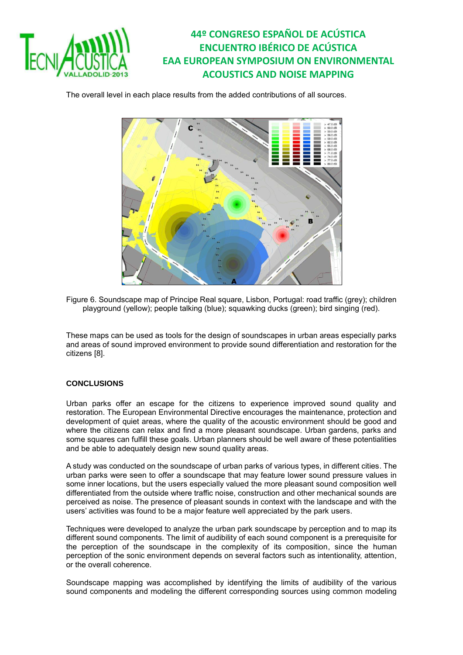

The overall level in each place results from the added contributions of all sources.



Figure 6. Soundscape map of Principe Real square, Lisbon, Portugal: road traffic (grey); children playground (yellow); people talking (blue); squawking ducks (green); bird singing (red).

These maps can be used as tools for the design of soundscapes in urban areas especially parks and areas of sound improved environment to provide sound differentiation and restoration for the citizens [8].

#### **CONCLUSIONS**

Urban parks offer an escape for the citizens to experience improved sound quality and restoration. The European Environmental Directive encourages the maintenance, protection and development of quiet areas, where the quality of the acoustic environment should be good and where the citizens can relax and find a more pleasant soundscape. Urban gardens, parks and some squares can fulfill these goals. Urban planners should be well aware of these potentialities and be able to adequately design new sound quality areas.

A study was conducted on the soundscape of urban parks of various types, in different cities. The urban parks were seen to offer a soundscape that may feature lower sound pressure values in some inner locations, but the users especially valued the more pleasant sound composition well differentiated from the outside where traffic noise, construction and other mechanical sounds are perceived as noise. The presence of pleasant sounds in context with the landscape and with the users' activities was found to be a major feature well appreciated by the park users.

Techniques were developed to analyze the urban park soundscape by perception and to map its different sound components. The limit of audibility of each sound component is a prerequisite for the perception of the soundscape in the complexity of its composition, since the human perception of the sonic environment depends on several factors such as intentionality, attention, or the overall coherence.

Soundscape mapping was accomplished by identifying the limits of audibility of the various sound components and modeling the different corresponding sources using common modeling